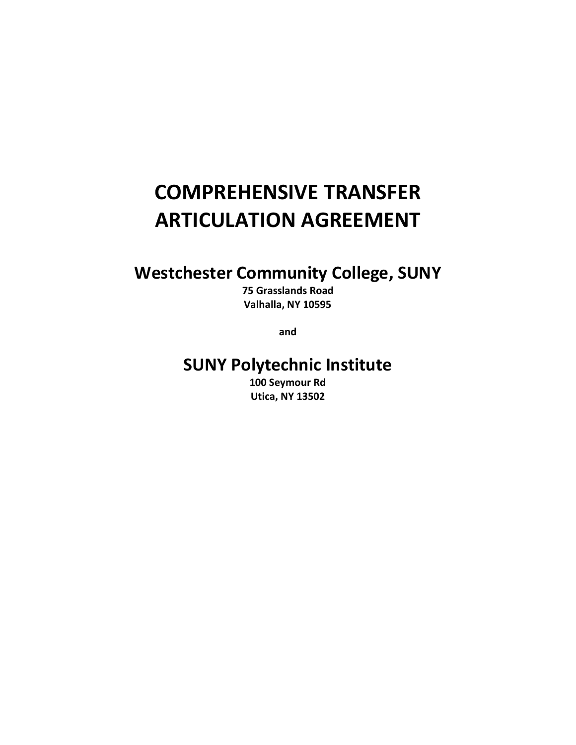# **COMPREHENSIVE TRANSFER ARTICULATION AGREEMENT**

## **Westchester Community College, SUNY**

**75 Grasslands Road Valhalla, NY 10595**

**and**

### **SUNY Polytechnic Institute**

**100 Seymour Rd Utica, NY 13502**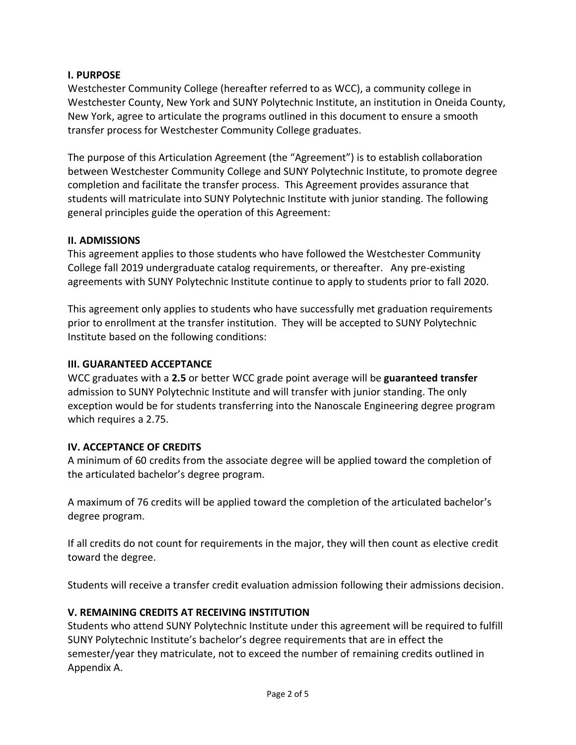#### **I. PURPOSE**

Westchester Community College (hereafter referred to as WCC), a community college in Westchester County, New York and SUNY Polytechnic Institute, an institution in Oneida County, New York, agree to articulate the programs outlined in this document to ensure a smooth transfer process for Westchester Community College graduates.

The purpose of this Articulation Agreement (the "Agreement") is to establish collaboration between Westchester Community College and SUNY Polytechnic Institute, to promote degree completion and facilitate the transfer process. This Agreement provides assurance that students will matriculate into SUNY Polytechnic Institute with junior standing. The following general principles guide the operation of this Agreement:

#### **II. ADMISSIONS**

This agreement applies to those students who have followed the Westchester Community College fall 2019 undergraduate catalog requirements, or thereafter. Any pre-existing agreements with SUNY Polytechnic Institute continue to apply to students prior to fall 2020.

This agreement only applies to students who have successfully met graduation requirements prior to enrollment at the transfer institution. They will be accepted to SUNY Polytechnic Institute based on the following conditions:

#### **III. GUARANTEED ACCEPTANCE**

WCC graduates with a **2.5** or better WCC grade point average will be **guaranteed transfer** admission to SUNY Polytechnic Institute and will transfer with junior standing. The only exception would be for students transferring into the Nanoscale Engineering degree program which requires a 2.75.

#### **IV. ACCEPTANCE OF CREDITS**

A minimum of 60 credits from the associate degree will be applied toward the completion of the articulated bachelor's degree program.

A maximum of 76 credits will be applied toward the completion of the articulated bachelor's degree program.

If all credits do not count for requirements in the major, they will then count as elective credit toward the degree.

Students will receive a transfer credit evaluation admission following their admissions decision.

#### **V. REMAINING CREDITS AT RECEIVING INSTITUTION**

Students who attend SUNY Polytechnic Institute under this agreement will be required to fulfill SUNY Polytechnic Institute's bachelor's degree requirements that are in effect the semester/year they matriculate, not to exceed the number of remaining credits outlined in Appendix A.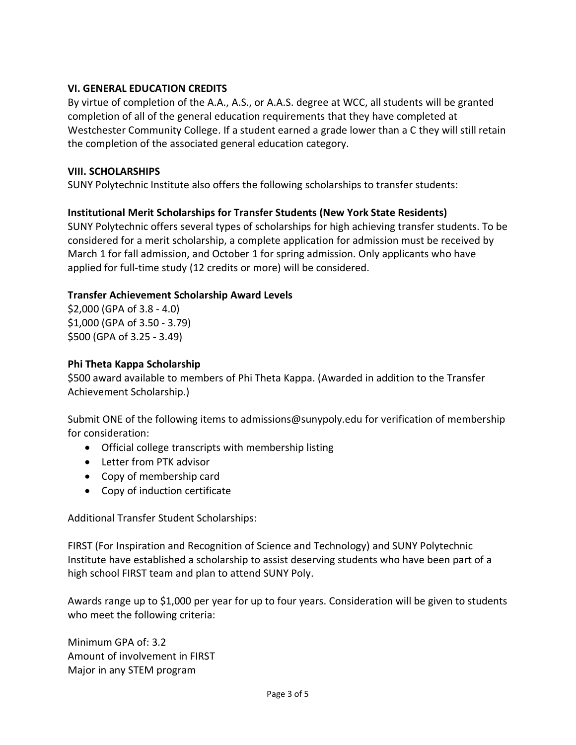#### **VI. GENERAL EDUCATION CREDITS**

By virtue of completion of the A.A., A.S., or A.A.S. degree at WCC, all students will be granted completion of all of the general education requirements that they have completed at Westchester Community College. If a student earned a grade lower than a C they will still retain the completion of the associated general education category.

#### **VIII. SCHOLARSHIPS**

SUNY Polytechnic Institute also offers the following scholarships to transfer students:

#### **Institutional Merit Scholarships for Transfer Students (New York State Residents)**

SUNY Polytechnic offers several types of scholarships for high achieving transfer students. To be considered for a merit scholarship, a complete application for admission must be received by March 1 for fall admission, and October 1 for spring admission. Only applicants who have applied for full-time study (12 credits or more) will be considered.

#### **Transfer Achievement Scholarship Award Levels**

\$2,000 (GPA of 3.8 - 4.0) \$1,000 (GPA of 3.50 - 3.79) \$500 (GPA of 3.25 - 3.49)

#### **Phi Theta Kappa Scholarship**

\$500 award available to members of Phi Theta Kappa. (Awarded in addition to the Transfer Achievement Scholarship.)

Submit ONE of the following items to admissions@sunypoly.edu for verification of membership for consideration:

- Official college transcripts with membership listing
- Letter from PTK advisor
- Copy of membership card
- Copy of induction certificate

Additional Transfer Student Scholarships:

FIRST (For Inspiration and Recognition of Science and Technology) and SUNY Polytechnic Institute have established a scholarship to assist deserving students who have been part of a high school FIRST team and plan to attend SUNY Poly.

Awards range up to \$1,000 per year for up to four years. Consideration will be given to students who meet the following criteria:

Minimum GPA of: 3.2 Amount of involvement in FIRST Major in any STEM program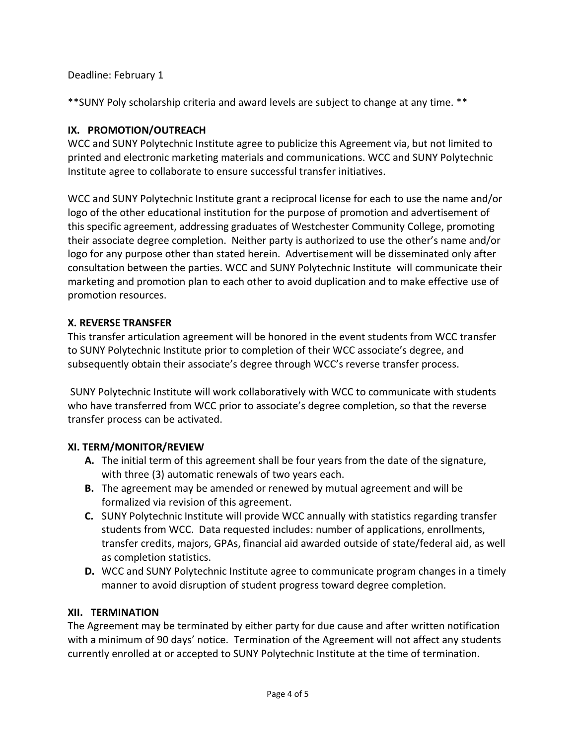Deadline: February 1

\*\*SUNY Poly scholarship criteria and award levels are subject to change at any time. \*\*

#### **IX. PROMOTION/OUTREACH**

WCC and SUNY Polytechnic Institute agree to publicize this Agreement via, but not limited to printed and electronic marketing materials and communications. WCC and SUNY Polytechnic Institute agree to collaborate to ensure successful transfer initiatives.

WCC and SUNY Polytechnic Institute grant a reciprocal license for each to use the name and/or logo of the other educational institution for the purpose of promotion and advertisement of this specific agreement, addressing graduates of Westchester Community College, promoting their associate degree completion. Neither party is authorized to use the other's name and/or logo for any purpose other than stated herein. Advertisement will be disseminated only after consultation between the parties. WCC and SUNY Polytechnic Institute will communicate their marketing and promotion plan to each other to avoid duplication and to make effective use of promotion resources.

#### **X. REVERSE TRANSFER**

This transfer articulation agreement will be honored in the event students from WCC transfer to SUNY Polytechnic Institute prior to completion of their WCC associate's degree, and subsequently obtain their associate's degree through WCC's reverse transfer process.

SUNY Polytechnic Institute will work collaboratively with WCC to communicate with students who have transferred from WCC prior to associate's degree completion, so that the reverse transfer process can be activated.

#### **XI. TERM/MONITOR/REVIEW**

- **A.** The initial term of this agreement shall be four years from the date of the signature, with three (3) automatic renewals of two years each.
- **B.** The agreement may be amended or renewed by mutual agreement and will be formalized via revision of this agreement.
- **C.** SUNY Polytechnic Institute will provide WCC annually with statistics regarding transfer students from WCC. Data requested includes: number of applications, enrollments, transfer credits, majors, GPAs, financial aid awarded outside of state/federal aid, as well as completion statistics.
- **D.** WCC and SUNY Polytechnic Institute agree to communicate program changes in a timely manner to avoid disruption of student progress toward degree completion.

#### **XII. TERMINATION**

The Agreement may be terminated by either party for due cause and after written notification with a minimum of 90 days' notice. Termination of the Agreement will not affect any students currently enrolled at or accepted to SUNY Polytechnic Institute at the time of termination.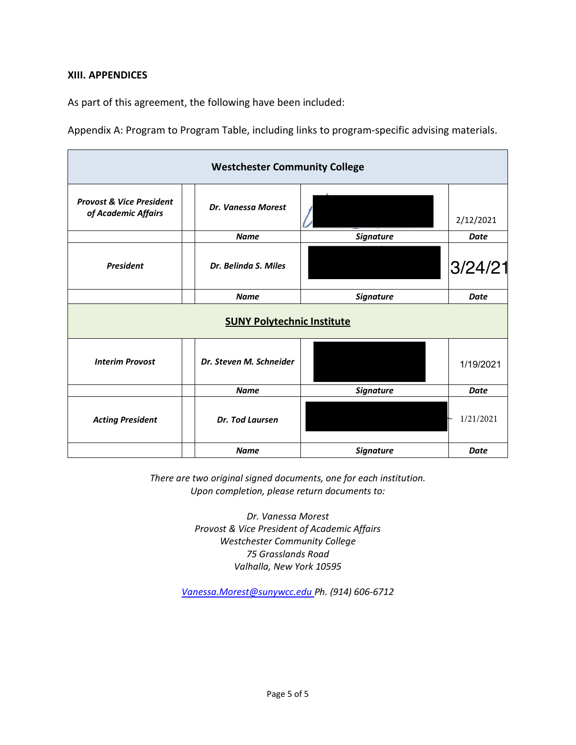#### **XIII. APPENDICES**

As part of this agreement, the following have been included:

Appendix A: Program to Program Table, including links to program-specific advising materials.

| <b>Westchester Community College</b>                       |                         |                  |             |  |  |  |  |
|------------------------------------------------------------|-------------------------|------------------|-------------|--|--|--|--|
| <b>Provost &amp; Vice President</b><br>of Academic Affairs | Dr. Vanessa Morest      |                  | 2/12/2021   |  |  |  |  |
|                                                            | <b>Name</b>             | <b>Signature</b> | <b>Date</b> |  |  |  |  |
| <b>President</b>                                           | Dr. Belinda S. Miles    |                  | 3/24/21     |  |  |  |  |
|                                                            | <b>Name</b>             | <b>Signature</b> | <b>Date</b> |  |  |  |  |
| <b>SUNY Polytechnic Institute</b>                          |                         |                  |             |  |  |  |  |
| <b>Interim Provost</b>                                     | Dr. Steven M. Schneider |                  | 1/19/2021   |  |  |  |  |
|                                                            | <b>Name</b>             | <b>Signature</b> | <b>Date</b> |  |  |  |  |
| <b>Acting President</b>                                    | Dr. Tod Laursen         |                  | 1/21/2021   |  |  |  |  |
|                                                            | <b>Name</b>             | <b>Signature</b> | <b>Date</b> |  |  |  |  |

*There are two original signed documents, one for each institution. Upon completion, please return documents to:* 

> *Dr. Vanessa Morest Provost & Vice President of Academic Affairs Westchester Community College 75 Grasslands Road Valhalla, New York 10595*

*[Vanessa.Morest@sunywcc.edu](mailto:Vanessa.Morest@sunywcc.edu) Ph. (914) 606-6712*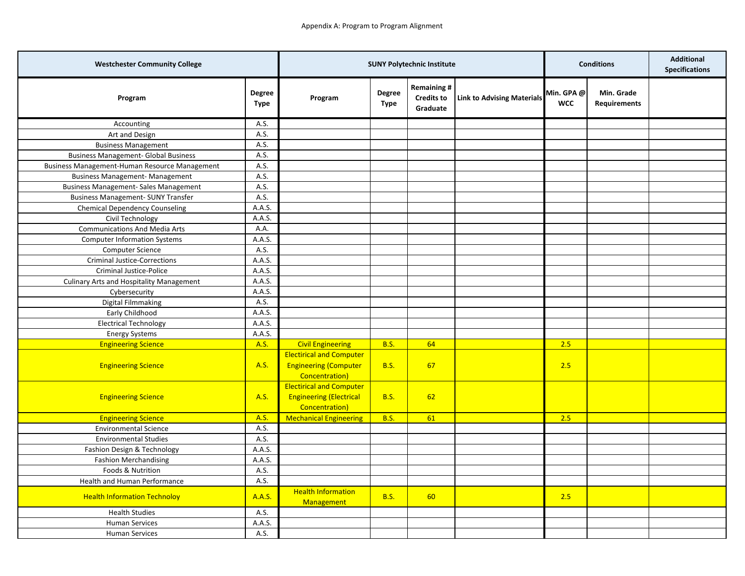| <b>Westchester Community College</b>            |                       | <b>SUNY Polytechnic Institute</b>                                                   |                       |                                                    | <b>Conditions</b>                 |                          | <b>Additional</b><br><b>Specifications</b> |  |
|-------------------------------------------------|-----------------------|-------------------------------------------------------------------------------------|-----------------------|----------------------------------------------------|-----------------------------------|--------------------------|--------------------------------------------|--|
| Program                                         | <b>Degree</b><br>Type | Program                                                                             | <b>Degree</b><br>Type | <b>Remaining#</b><br><b>Credits to</b><br>Graduate | <b>Link to Advising Materials</b> | Min. GPA @<br><b>WCC</b> | Min. Grade<br><b>Requirements</b>          |  |
| Accounting                                      | A.S.                  |                                                                                     |                       |                                                    |                                   |                          |                                            |  |
| Art and Design                                  | A.S.                  |                                                                                     |                       |                                                    |                                   |                          |                                            |  |
| <b>Business Management</b>                      | A.S.                  |                                                                                     |                       |                                                    |                                   |                          |                                            |  |
| <b>Business Management- Global Business</b>     | A.S.                  |                                                                                     |                       |                                                    |                                   |                          |                                            |  |
| Business Management-Human Resource Management   | A.S.                  |                                                                                     |                       |                                                    |                                   |                          |                                            |  |
| <b>Business Management- Management</b>          | A.S.                  |                                                                                     |                       |                                                    |                                   |                          |                                            |  |
| <b>Business Management- Sales Management</b>    | A.S.                  |                                                                                     |                       |                                                    |                                   |                          |                                            |  |
| <b>Business Management- SUNY Transfer</b>       | A.S.                  |                                                                                     |                       |                                                    |                                   |                          |                                            |  |
| <b>Chemical Dependency Counseling</b>           | A.A.S.                |                                                                                     |                       |                                                    |                                   |                          |                                            |  |
| Civil Technology                                | A.A.S.                |                                                                                     |                       |                                                    |                                   |                          |                                            |  |
| <b>Communications And Media Arts</b>            | A.A.                  |                                                                                     |                       |                                                    |                                   |                          |                                            |  |
| <b>Computer Information Systems</b>             | A.A.S.                |                                                                                     |                       |                                                    |                                   |                          |                                            |  |
| Computer Science                                | A.S.                  |                                                                                     |                       |                                                    |                                   |                          |                                            |  |
| <b>Criminal Justice-Corrections</b>             | A.A.S.                |                                                                                     |                       |                                                    |                                   |                          |                                            |  |
| <b>Criminal Justice-Police</b>                  | A.A.S.                |                                                                                     |                       |                                                    |                                   |                          |                                            |  |
| <b>Culinary Arts and Hospitality Management</b> | A.A.S.                |                                                                                     |                       |                                                    |                                   |                          |                                            |  |
| Cybersecurity                                   | A.A.S.                |                                                                                     |                       |                                                    |                                   |                          |                                            |  |
| <b>Digital Filmmaking</b>                       | A.S.                  |                                                                                     |                       |                                                    |                                   |                          |                                            |  |
| Early Childhood                                 | A.A.S.                |                                                                                     |                       |                                                    |                                   |                          |                                            |  |
| <b>Electrical Technology</b>                    | A.A.S.                |                                                                                     |                       |                                                    |                                   |                          |                                            |  |
| <b>Energy Systems</b>                           | A.A.S.                |                                                                                     |                       |                                                    |                                   |                          |                                            |  |
| <b>Engineering Science</b>                      | A.S.                  | <b>Civil Engineering</b>                                                            | <b>B.S.</b>           | 64                                                 |                                   | 2.5                      |                                            |  |
| <b>Engineering Science</b>                      | A.S.                  | <b>Electirical and Computer</b><br><b>Engineering (Computer</b><br>Concentration)   | <b>B.S.</b>           | 67                                                 |                                   | 2.5                      |                                            |  |
| <b>Engineering Science</b>                      | A.S.                  | <b>Electirical and Computer</b><br><b>Engineering (Electrical</b><br>Concentration) | <b>B.S.</b>           | 62                                                 |                                   |                          |                                            |  |
| <b>Engineering Science</b>                      | A.S.                  | <b>Mechanical Engineering</b>                                                       | <b>B.S.</b>           | 61                                                 |                                   | 2.5                      |                                            |  |
| <b>Environmental Science</b>                    | A.S.                  |                                                                                     |                       |                                                    |                                   |                          |                                            |  |
| <b>Environmental Studies</b>                    | A.S.                  |                                                                                     |                       |                                                    |                                   |                          |                                            |  |
| Fashion Design & Technology                     | A.A.S.                |                                                                                     |                       |                                                    |                                   |                          |                                            |  |
| <b>Fashion Merchandising</b>                    | A.A.S.                |                                                                                     |                       |                                                    |                                   |                          |                                            |  |
| Foods & Nutrition                               | A.S.                  |                                                                                     |                       |                                                    |                                   |                          |                                            |  |
| Health and Human Performance                    | A.S.                  |                                                                                     |                       |                                                    |                                   |                          |                                            |  |
| <b>Health Information Technoloy</b>             | A.A.S.                | <b>Health Information</b><br><b>Management</b>                                      | <b>B.S.</b>           | 60                                                 |                                   | 2.5                      |                                            |  |
| <b>Health Studies</b>                           | A.S.                  |                                                                                     |                       |                                                    |                                   |                          |                                            |  |
| <b>Human Services</b>                           | A.A.S.                |                                                                                     |                       |                                                    |                                   |                          |                                            |  |
| <b>Human Services</b>                           | A.S.                  |                                                                                     |                       |                                                    |                                   |                          |                                            |  |